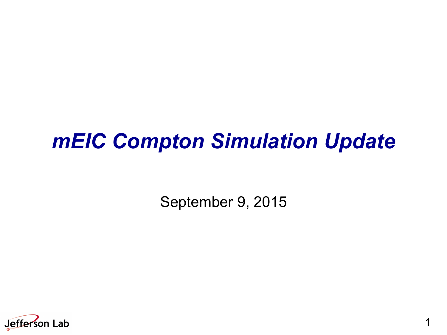### *mEIC Compton Simulation Update*

September 9, 2015

1

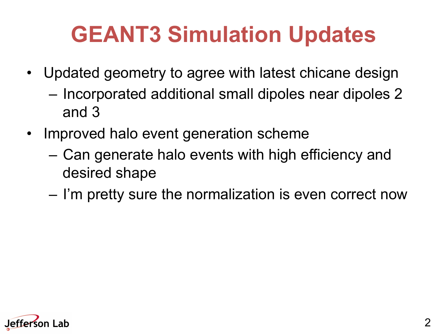# **GEANT3 Simulation Updates**

- Updated geometry to agree with latest chicane design
	- Incorporated additional small dipoles near dipoles 2 and 3
- Improved halo event generation scheme
	- Can generate halo events with high efficiency and desired shape
	- I'm pretty sure the normalization is even correct now

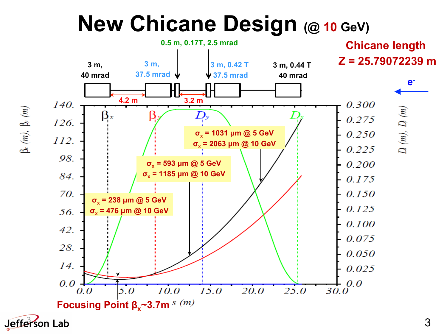## **New Chicane Design (@ 10 GeV)**



 $\upbeta_{x}\left( m\right) ,\;\upbeta_{y}\left( m\right)$ 

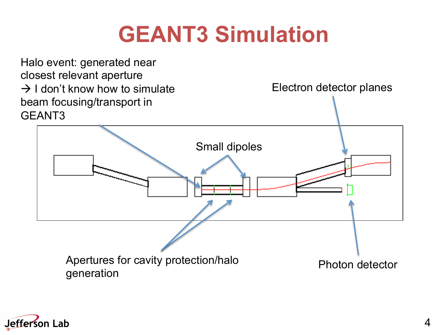## **GEANT3 Simulation**



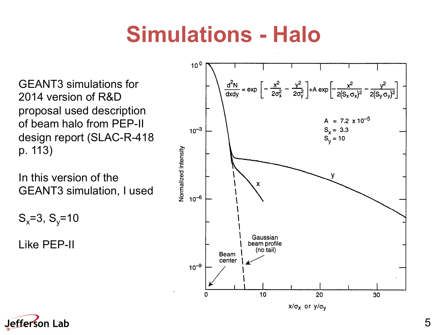## **Simulations - Halo**

GEANT3 simulations for 2014 version of R&D proposal used description of beam halo from PEP-II design report (SLAC-R-418 p. 113)

In this version of the GEANT3 simulation, I used

 $S_x = 3, S_y = 10$ 

Like PEP-II



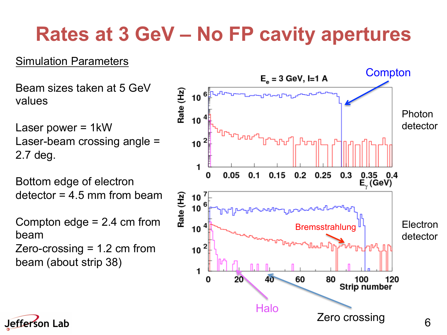#### **Rates at 3 GeV – No FP cavity apertures**

#### Simulation Parameters

Beam sizes taken at 5 GeV values

Laser power = 1kW Laser-beam crossing angle = 2.7 deg.

Bottom edge of electron  $d$ etector = 4.5 mm from beam

Compton edge = 2.4 cm from beam Zero-crossing = 1.2 cm from beam (about strip 38)



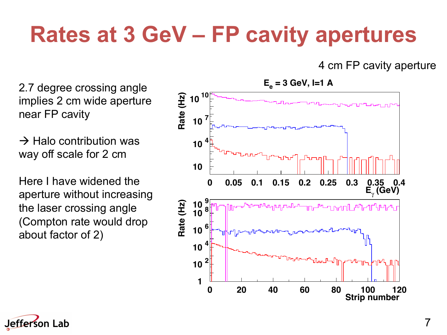# **Rates at 3 GeV – FP cavity apertures**

4 cm FP cavity aperture

2.7 degree crossing angle implies 2 cm wide aperture near FP cavity

 $\rightarrow$  Halo contribution was way off scale for 2 cm

Here I have widened the aperture without increasing the laser crossing angle (Compton rate would drop about factor of 2)



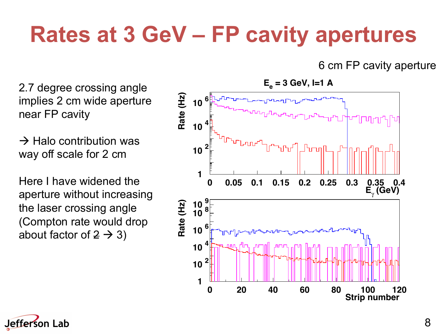# **Rates at 3 GeV – FP cavity apertures**

6 cm FP cavity aperture

2.7 degree crossing angle implies 2 cm wide aperture near FP cavity

 $\rightarrow$  Halo contribution was way off scale for 2 cm

Here I have widened the aperture without increasing the laser crossing angle (Compton rate would drop about factor of  $2 \rightarrow 3$ )